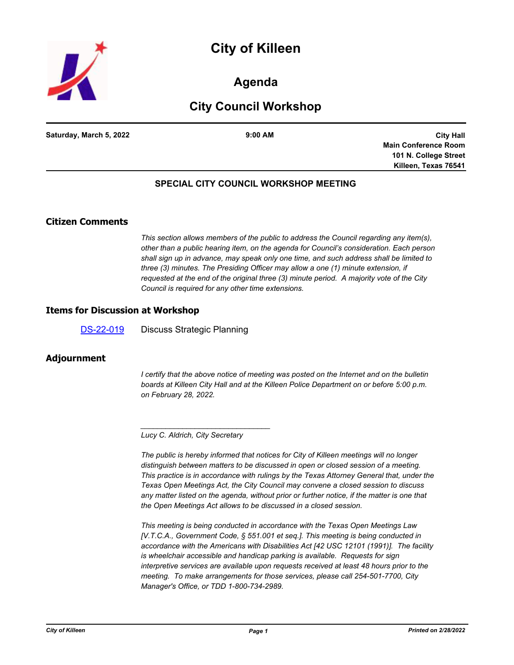



## **Agenda**

# **City Council Workshop**

**Saturday, March 5, 2022 9:00 AM**

**City Hall Main Conference Room 101 N. College Street Killeen, Texas 76541**

## **SPECIAL CITY COUNCIL WORKSHOP MEETING**

## **Citizen Comments**

*This section allows members of the public to address the Council regarding any item(s), other than a public hearing item, on the agenda for Council's consideration. Each person shall sign up in advance, may speak only one time, and such address shall be limited to three (3) minutes. The Presiding Officer may allow a one (1) minute extension, if requested at the end of the original three (3) minute period. A majority vote of the City Council is required for any other time extensions.*

#### **Items for Discussion at Workshop**

[DS-22-019](http://killeen.legistar.com/gateway.aspx?m=l&id=/matter.aspx?key=5947) Discuss Strategic Planning

#### **Adjournment**

*I* certify that the above notice of meeting was posted on the Internet and on the bulletin *boards at Killeen City Hall and at the Killeen Police Department on or before 5:00 p.m. on February 28, 2022.*

*\_\_\_\_\_\_\_\_\_\_\_\_\_\_\_\_\_\_\_\_\_\_\_\_\_\_\_\_\_\_\_*

*The public is hereby informed that notices for City of Killeen meetings will no longer distinguish between matters to be discussed in open or closed session of a meeting. This practice is in accordance with rulings by the Texas Attorney General that, under the Texas Open Meetings Act, the City Council may convene a closed session to discuss any matter listed on the agenda, without prior or further notice, if the matter is one that the Open Meetings Act allows to be discussed in a closed session.*

*This meeting is being conducted in accordance with the Texas Open Meetings Law [V.T.C.A., Government Code, § 551.001 et seq.]. This meeting is being conducted in accordance with the Americans with Disabilities Act [42 USC 12101 (1991)]. The facility is wheelchair accessible and handicap parking is available. Requests for sign interpretive services are available upon requests received at least 48 hours prior to the meeting. To make arrangements for those services, please call 254-501-7700, City Manager's Office, or TDD 1-800-734-2989.*

*Lucy C. Aldrich, City Secretary*